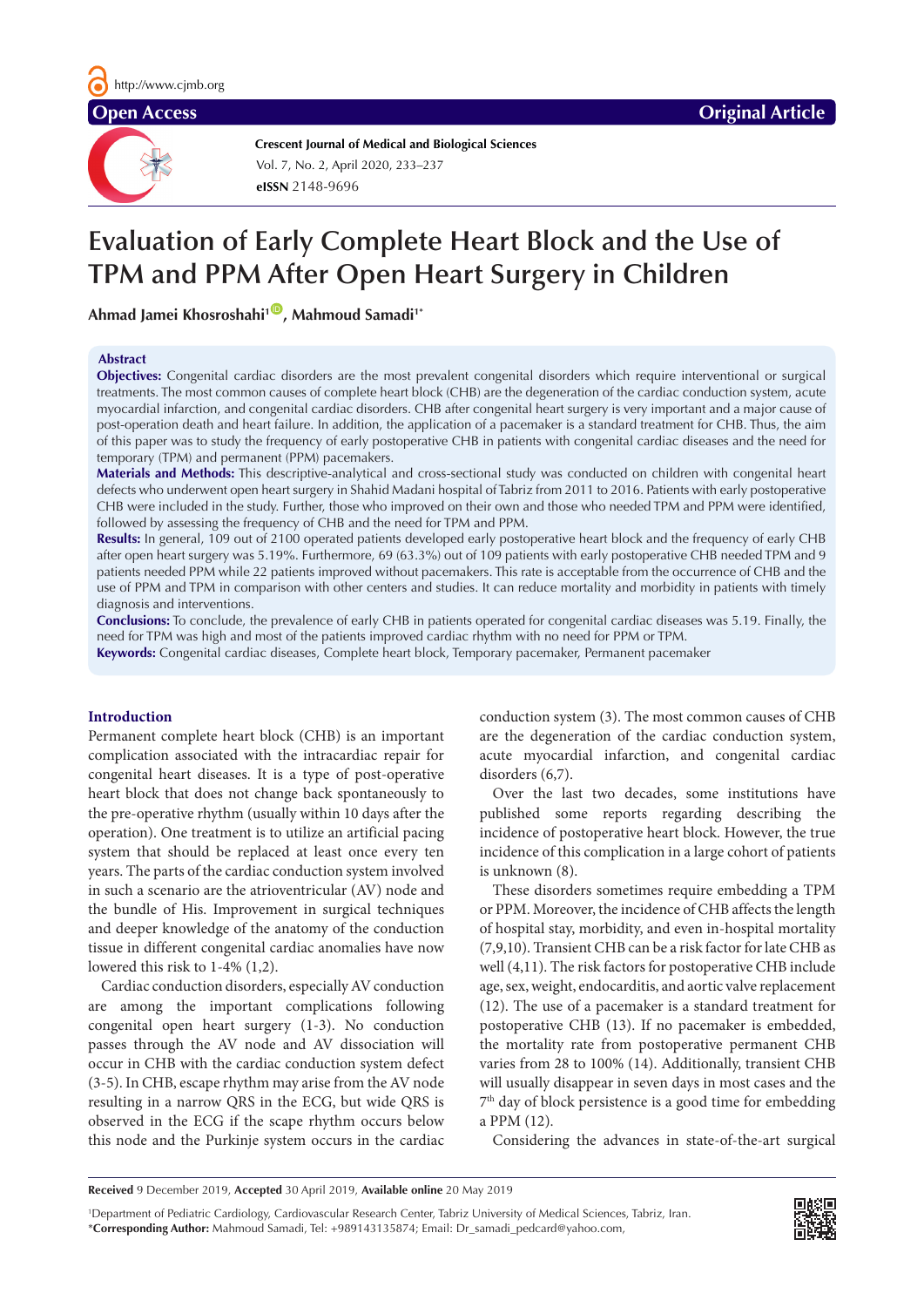**Crescent Journal of Medical and Biological Sciences eISSN** 2148-9696 Vol. 7, No. 2, April 2020, 233–237

# **Evaluation of Early Complete Heart Block and the Use of TPM and PPM After Open Heart Surgery in Children**

Ahmad Jamei Khosroshahi<sup>1</sup><sup>0</sup>, Mahmoud Samadi<sup>1\*</sup>

#### **Abstract**

**Objectives:** Congenital cardiac disorders are the most prevalent congenital disorders which require interventional or surgical treatments. The most common causes of complete heart block (CHB) are the degeneration of the cardiac conduction system, acute myocardial infarction, and congenital cardiac disorders. CHB after congenital heart surgery is very important and a major cause of post-operation death and heart failure. In addition, the application of a pacemaker is a standard treatment for CHB. Thus, the aim of this paper was to study the frequency of early postoperative CHB in patients with congenital cardiac diseases and the need for temporary (TPM) and permanent (PPM) pacemakers.

**Materials and Methods:** This descriptive-analytical and cross-sectional study was conducted on children with congenital heart defects who underwent open heart surgery in Shahid Madani hospital of Tabriz from 2011 to 2016. Patients with early postoperative CHB were included in the study. Further, those who improved on their own and those who needed TPM and PPM were identified, followed by assessing the frequency of CHB and the need for TPM and PPM.

**Results:** In general, 109 out of 2100 operated patients developed early postoperative heart block and the frequency of early CHB after open heart surgery was 5.19%. Furthermore, 69 (63.3%) out of 109 patients with early postoperative CHB needed TPM and 9 patients needed PPM while 22 patients improved without pacemakers. This rate is acceptable from the occurrence of CHB and the use of PPM and TPM in comparison with other centers and studies. It can reduce mortality and morbidity in patients with timely diagnosis and interventions.

**Conclusions:** To conclude, the prevalence of early CHB in patients operated for congenital cardiac diseases was 5.19. Finally, the need for TPM was high and most of the patients improved cardiac rhythm with no need for PPM or TPM.

**Keywords:** Congenital cardiac diseases, Complete heart block, Temporary pacemaker, Permanent pacemaker

#### **Introduction**

Permanent complete heart block (CHB) is an important complication associated with the intracardiac repair for congenital heart diseases. It is a type of post-operative heart block that does not change back spontaneously to the pre-operative rhythm (usually within 10 days after the operation). One treatment is to utilize an artificial pacing system that should be replaced at least once every ten years. The parts of the cardiac conduction system involved in such a scenario are the atrioventricular (AV) node and the bundle of His. Improvement in surgical techniques and deeper knowledge of the anatomy of the conduction tissue in different congenital cardiac anomalies have now lowered this risk to 1-4% (1,2).

Cardiac conduction disorders, especially AV conduction are among the important complications following congenital open heart surgery (1-3). No conduction passes through the AV node and AV dissociation will occur in CHB with the cardiac conduction system defect (3-5). In CHB, escape rhythm may arise from the AV node resulting in a narrow QRS in the ECG, but wide QRS is observed in the ECG if the scape rhythm occurs below this node and the Purkinje system occurs in the cardiac conduction system (3). The most common causes of CHB are the degeneration of the cardiac conduction system, acute myocardial infarction, and congenital cardiac disorders (6,7).

Over the last two decades, some institutions have published some reports regarding describing the incidence of postoperative heart block. However, the true incidence of this complication in a large cohort of patients is unknown (8).

These disorders sometimes require embedding a TPM or PPM. Moreover, the incidence of CHB affects the length of hospital stay, morbidity, and even in-hospital mortality (7,9,10). Transient CHB can be a risk factor for late CHB as well (4,11). The risk factors for postoperative CHB include age, sex, weight, endocarditis, and aortic valve replacement (12). The use of a pacemaker is a standard treatment for postoperative CHB (13). If no pacemaker is embedded, the mortality rate from postoperative permanent CHB varies from 28 to 100% (14). Additionally, transient CHB will usually disappear in seven days in most cases and the 7th day of block persistence is a good time for embedding a PPM (12).

Considering the advances in state-of-the-art surgical

1 Department of Pediatric Cardiology, Cardiovascular Research Center, Tabriz University of Medical Sciences, Tabriz, Iran. \***Corresponding Author:** Mahmoud Samadi, Tel: +989143135874; Email: Dr\_samadi\_pedcard@yahoo.com,



**Received** 9 December 2019, **Accepted** 30 April 2019, **Available online** 20 May 2019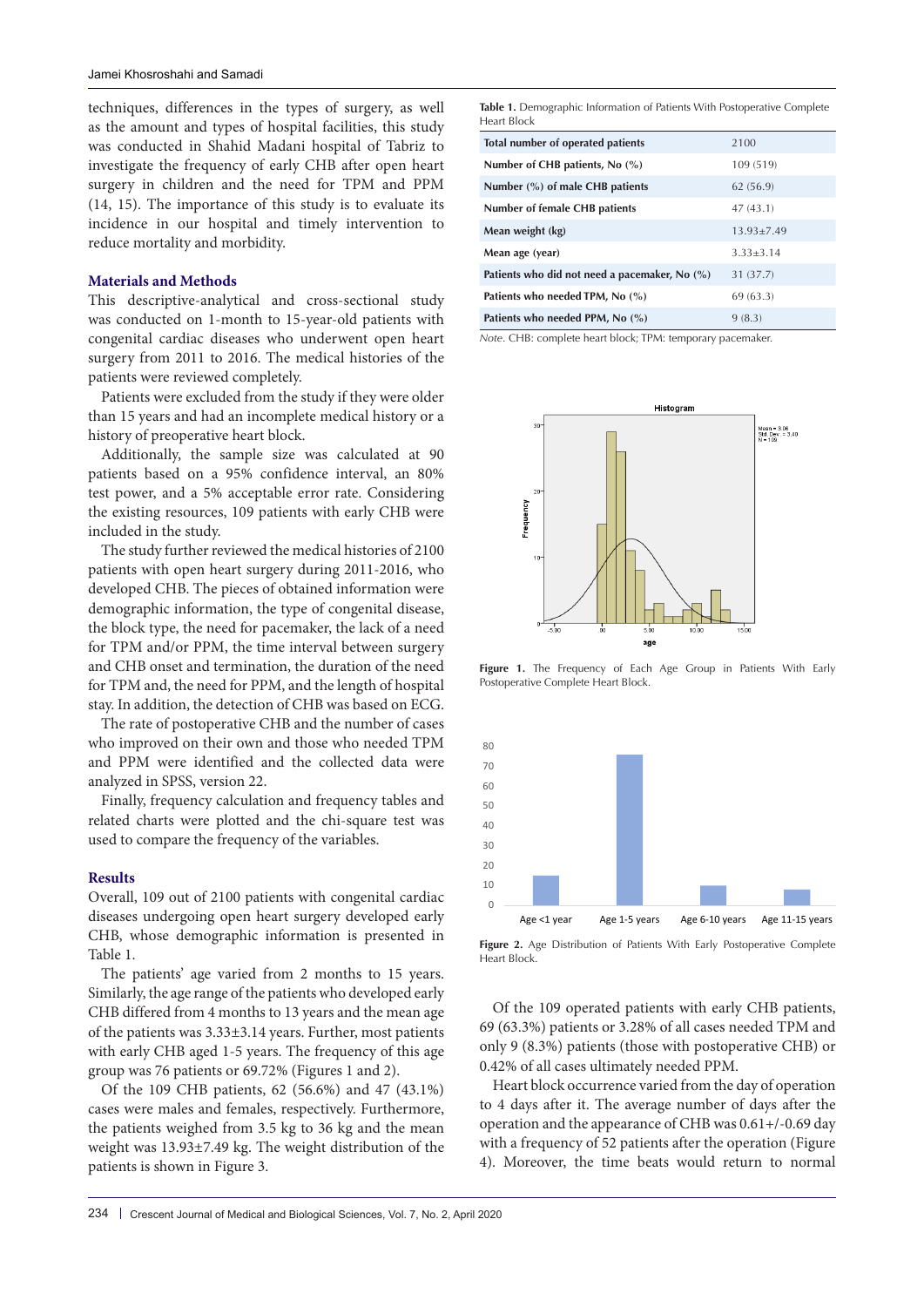techniques, differences in the types of surgery, as well as the amount and types of hospital facilities, this study was conducted in Shahid Madani hospital of Tabriz to investigate the frequency of early CHB after open heart surgery in children and the need for TPM and PPM (14, 15). The importance of this study is to evaluate its incidence in our hospital and timely intervention to reduce mortality and morbidity.

# **Materials and Methods**

This descriptive-analytical and cross-sectional study was conducted on 1-month to 15-year-old patients with congenital cardiac diseases who underwent open heart surgery from 2011 to 2016. The medical histories of the patients were reviewed completely.

Patients were excluded from the study if they were older than 15 years and had an incomplete medical history or a history of preoperative heart block.

Additionally, the sample size was calculated at 90 patients based on a 95% confidence interval, an 80% test power, and a 5% acceptable error rate. Considering the existing resources, 109 patients with early CHB were included in the study.

The study further reviewed the medical histories of 2100 patients with open heart surgery during 2011-2016, who developed CHB. The pieces of obtained information were demographic information, the type of congenital disease, the block type, the need for pacemaker, the lack of a need for TPM and/or PPM, the time interval between surgery and CHB onset and termination, the duration of the need for TPM and, the need for PPM, and the length of hospital stay. In addition, the detection of CHB was based on ECG.

The rate of postoperative CHB and the number of cases who improved on their own and those who needed TPM and PPM were identified and the collected data were analyzed in SPSS, version 22.

Finally, frequency calculation and frequency tables and related charts were plotted and the chi-square test was used to compare the frequency of the variables.

#### **Results**

Overall, 109 out of 2100 patients with congenital cardiac diseases undergoing open heart surgery developed early CHB, whose demographic information is presented in Table 1.

The patients' age varied from 2 months to 15 years. Similarly, the age range of the patients who developed early CHB differed from 4 months to 13 years and the mean age of the patients was 3.33±3.14 years. Further, most patients with early CHB aged 1-5 years. The frequency of this age group was 76 patients or 69.72% (Figures 1 and 2).

Of the 109 CHB patients, 62 (56.6%) and 47 (43.1%) cases were males and females, respectively. Furthermore, the patients weighed from 3.5 kg to 36 kg and the mean weight was 13.93±7.49 kg. The weight distribution of the patients is shown in Figure 3.

Table 1. Demographic Information of Patients With Postoperative Complete Heart Block

| Total number of operated patients             | 2100           |
|-----------------------------------------------|----------------|
| Number of CHB patients, No $(\%)$             | 109 (519)      |
| Number $(\%)$ of male CHB patients            | 62 (56.9)      |
| <b>Number of female CHB patients</b>          | 47(43.1)       |
| Mean weight (kg)                              | $13.93 + 7.49$ |
| Mean age (year)                               | $3.33 + 3.14$  |
| Patients who did not need a pacemaker, No (%) | 31 (37.7)      |
| Patients who needed TPM, No (%)               | 69 (63.3)      |
| Patients who needed PPM, No (%)               | 9(8.3)         |

*Note*. CHB: complete heart block; TPM: temporary pacemaker.



**Figure 1.** The Frequency of Each Age Group in Patients With Early Postoperative Complete Heart Block.



**Figure 2.** Age Distribution of Patients With Early Postoperative Complete Heart Block.

Of the 109 operated patients with early CHB patients, 69 (63.3%) patients or 3.28% of all cases needed TPM and only 9 (8.3%) patients (those with postoperative CHB) or 0.42% of all cases ultimately needed PPM.

Heart block occurrence varied from the day of operation to 4 days after it. The average number of days after the operation and the appearance of CHB was 0.61+/-0.69 day with a frequency of 52 patients after the operation (Figure 4). Moreover, the time beats would return to normal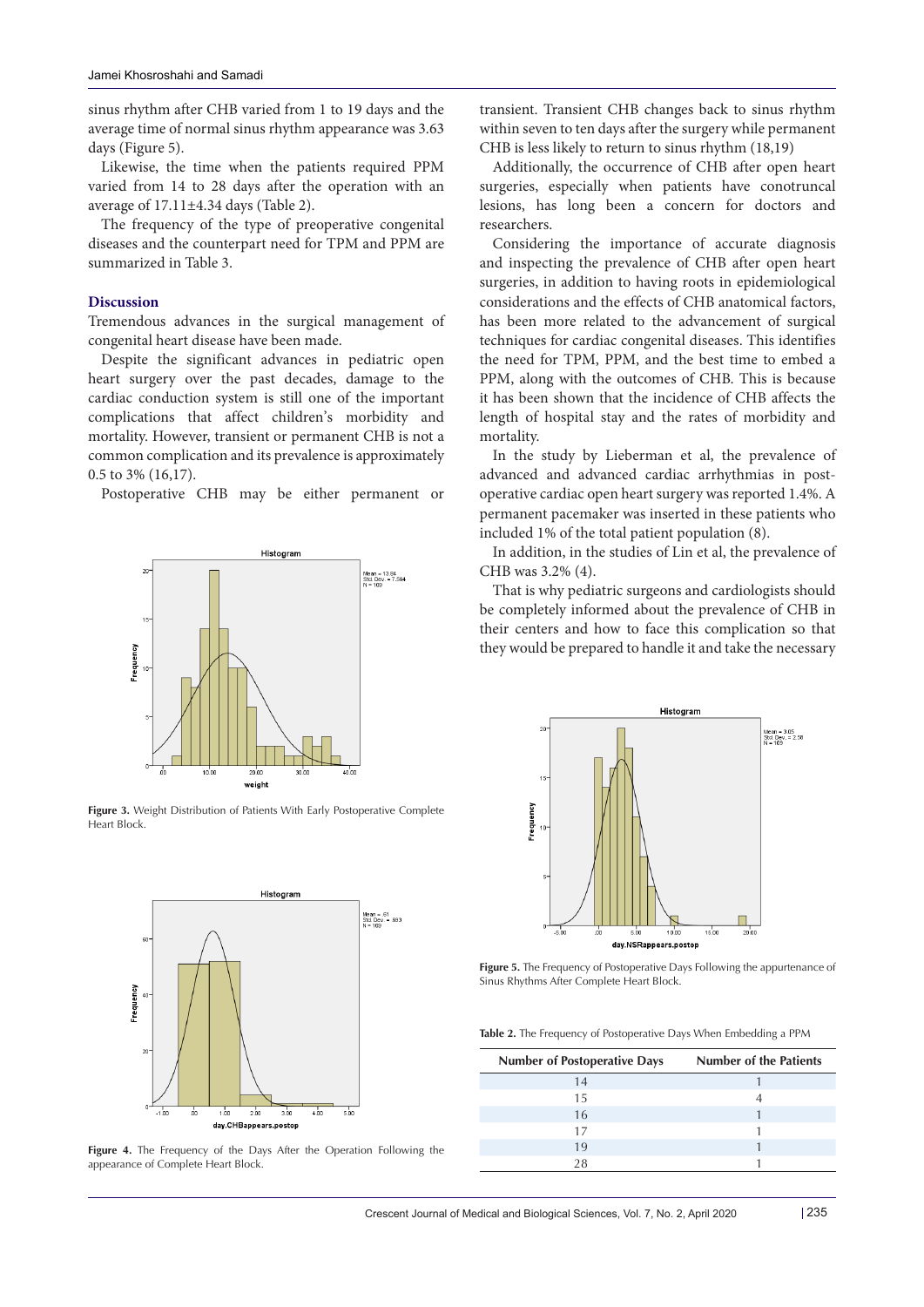sinus rhythm after CHB varied from 1 to 19 days and the average time of normal sinus rhythm appearance was 3.63 days (Figure 5).

Likewise, the time when the patients required PPM varied from 14 to 28 days after the operation with an average of 17.11±4.34 days (Table 2).

The frequency of the type of preoperative congenital diseases and the counterpart need for TPM and PPM are summarized in Table 3.

# **Discussion**

Tremendous advances in the surgical management of congenital heart disease have been made.

Despite the significant advances in pediatric open heart surgery over the past decades, damage to the cardiac conduction system is still one of the important complications that affect children's morbidity and mortality. However, transient or permanent CHB is not a common complication and its prevalence is approximately 0.5 to 3% (16,17).

Postoperative CHB may be either permanent or



**Figure 3.** Weight Distribution of Patients With Early Postoperative Complete Heart Block.



**Figure 4.** The Frequency of the Days After the Operation Following the appearance of Complete Heart Block.

transient. Transient CHB changes back to sinus rhythm within seven to ten days after the surgery while permanent CHB is less likely to return to sinus rhythm (18,19)

Additionally, the occurrence of CHB after open heart surgeries, especially when patients have conotruncal lesions, has long been a concern for doctors and researchers.

Considering the importance of accurate diagnosis and inspecting the prevalence of CHB after open heart surgeries, in addition to having roots in epidemiological considerations and the effects of CHB anatomical factors, has been more related to the advancement of surgical techniques for cardiac congenital diseases. This identifies the need for TPM, PPM, and the best time to embed a PPM, along with the outcomes of CHB. This is because it has been shown that the incidence of CHB affects the length of hospital stay and the rates of morbidity and mortality.

In the study by Lieberman et al, the prevalence of advanced and advanced cardiac arrhythmias in postoperative cardiac open heart surgery was reported 1.4%. A permanent pacemaker was inserted in these patients who included 1% of the total patient population (8).

In addition, in the studies of Lin et al, the prevalence of CHB was 3.2% (4).

That is why pediatric surgeons and cardiologists should be completely informed about the prevalence of CHB in their centers and how to face this complication so that they would be prepared to handle it and take the necessary



**Figure 5.** The Frequency of Postoperative Days Following the appurtenance of Sinus Rhythms After Complete Heart Block.

**Table 2.** The Frequency of Postoperative Days When Embedding a PPM

| <b>Number of Postoperative Days</b> | <b>Number of the Patients</b> |
|-------------------------------------|-------------------------------|
| 14                                  |                               |
| 15                                  |                               |
| 16                                  |                               |
| 17                                  |                               |
| 19                                  |                               |
| 28                                  |                               |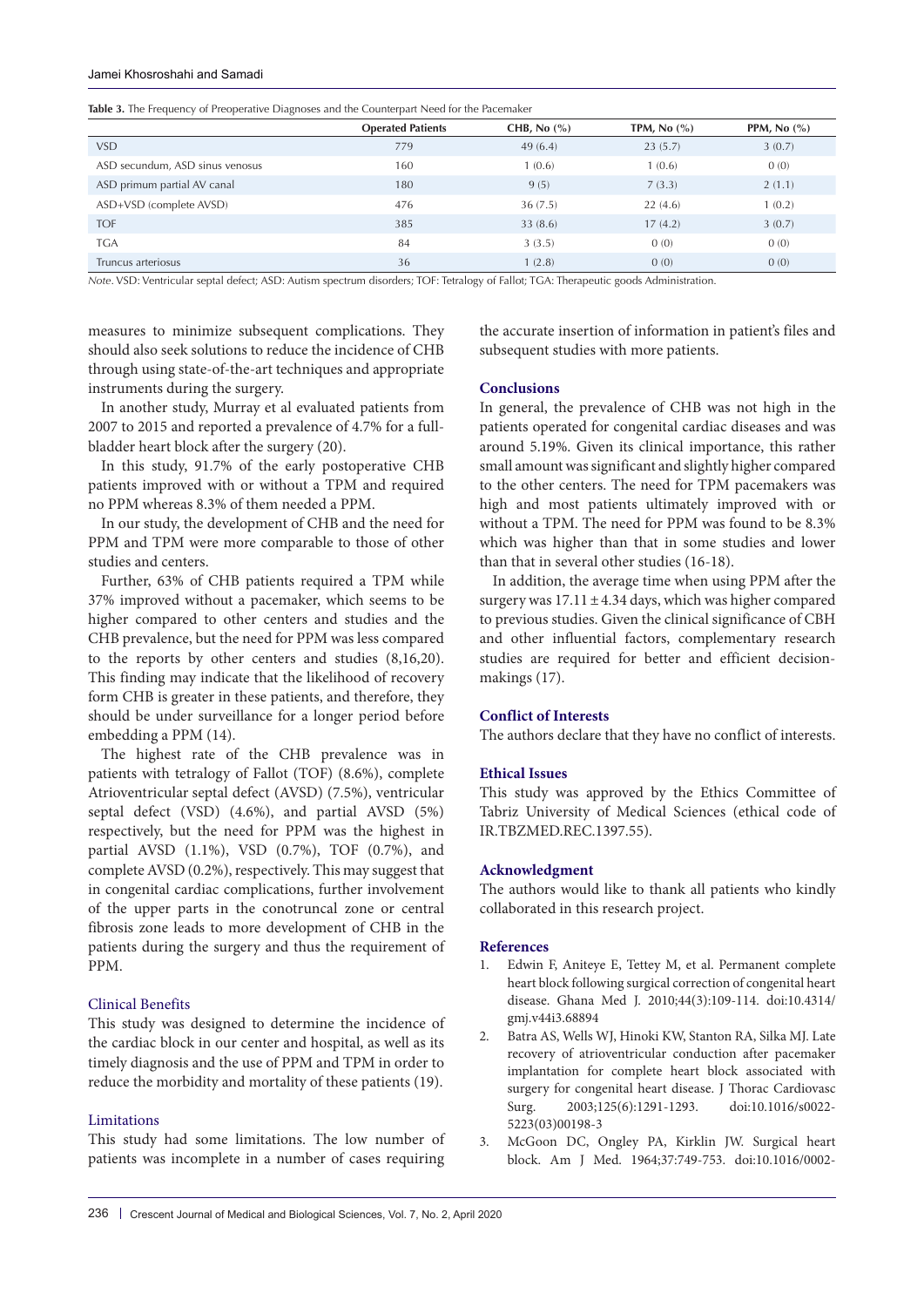#### Jamei Khosroshahi and Samadi

|                                 | <b>Operated Patients</b> | CHB, No $(\% )$ | TPM, $No (%)$ | PPM, No $(\% )$ |
|---------------------------------|--------------------------|-----------------|---------------|-----------------|
| VSD.                            | 779                      | 49(6.4)         | 23(5.7)       | 3(0.7)          |
| ASD secundum, ASD sinus venosus | 160                      | 1(0.6)          | 1(0.6)        | 0(0)            |
| ASD primum partial AV canal     | 180                      | 9(5)            | 7(3.3)        | 2(1.1)          |
| ASD+VSD (complete AVSD)         | 476                      | 36(7.5)         | 22(4.6)       | 1(0.2)          |
| <b>TOF</b>                      | 385                      | 33(8.6)         | 17(4.2)       | 3(0.7)          |
| <b>TGA</b>                      | 84                       | 3(3.5)          | 0(0)          | 0(0)            |
| Truncus arteriosus              | 36                       | 1(2.8)          | 0(0)          | 0(0)            |

*Note*. VSD: Ventricular septal defect; ASD: Autism spectrum disorders; TOF: Tetralogy of Fallot; TGA: Therapeutic goods Administration.

measures to minimize subsequent complications. They should also seek solutions to reduce the incidence of CHB through using state-of-the-art techniques and appropriate instruments during the surgery.

In another study, Murray et al evaluated patients from 2007 to 2015 and reported a prevalence of 4.7% for a fullbladder heart block after the surgery (20).

In this study, 91.7% of the early postoperative CHB patients improved with or without a TPM and required no PPM whereas 8.3% of them needed a PPM.

In our study, the development of CHB and the need for PPM and TPM were more comparable to those of other studies and centers.

Further, 63% of CHB patients required a TPM while 37% improved without a pacemaker, which seems to be higher compared to other centers and studies and the CHB prevalence, but the need for PPM was less compared to the reports by other centers and studies (8,16,20). This finding may indicate that the likelihood of recovery form CHB is greater in these patients, and therefore, they should be under surveillance for a longer period before embedding a PPM (14).

The highest rate of the CHB prevalence was in patients with tetralogy of Fallot (TOF) (8.6%), complete Atrioventricular septal defect (AVSD) (7.5%), ventricular septal defect (VSD) (4.6%), and partial AVSD (5%) respectively, but the need for PPM was the highest in partial AVSD (1.1%), VSD (0.7%), TOF (0.7%), and complete AVSD (0.2%), respectively. This may suggest that in congenital cardiac complications, further involvement of the upper parts in the conotruncal zone or central fibrosis zone leads to more development of CHB in the patients during the surgery and thus the requirement of PPM.

# Clinical Benefits

This study was designed to determine the incidence of the cardiac block in our center and hospital, as well as its timely diagnosis and the use of PPM and TPM in order to reduce the morbidity and mortality of these patients (19).

# Limitations

This study had some limitations. The low number of patients was incomplete in a number of cases requiring

the accurate insertion of information in patient's files and subsequent studies with more patients.

# **Conclusions**

In general, the prevalence of CHB was not high in the patients operated for congenital cardiac diseases and was around 5.19%. Given its clinical importance, this rather small amount was significant and slightly higher compared to the other centers. The need for TPM pacemakers was high and most patients ultimately improved with or without a TPM. The need for PPM was found to be 8.3% which was higher than that in some studies and lower than that in several other studies (16-18).

In addition, the average time when using PPM after the surgery was  $17.11 \pm 4.34$  days, which was higher compared to previous studies. Given the clinical significance of CBH and other influential factors, complementary research studies are required for better and efficient decisionmakings (17).

# **Conflict of Interests**

The authors declare that they have no conflict of interests.

# **Ethical Issues**

This study was approved by the Ethics Committee of Tabriz University of Medical Sciences (ethical code of IR.TBZMED.REC.1397.55).

#### **Acknowledgment**

The authors would like to thank all patients who kindly collaborated in this research project.

# **References**

- 1. Edwin F, Aniteye E, Tettey M, et al. Permanent complete heart block following surgical correction of congenital heart disease. Ghana Med J. 2010;44(3):109-114. doi:10.4314/ gmj.v44i3.68894
- 2. Batra AS, Wells WJ, Hinoki KW, Stanton RA, Silka MJ. Late recovery of atrioventricular conduction after pacemaker implantation for complete heart block associated with surgery for congenital heart disease. J Thorac Cardiovasc Surg. 2003;125(6):1291-1293. doi:10.1016/s0022- 5223(03)00198-3
- 3. McGoon DC, Ongley PA, Kirklin JW. Surgical heart block. Am J Med. 1964;37:749-753. doi:10.1016/0002-